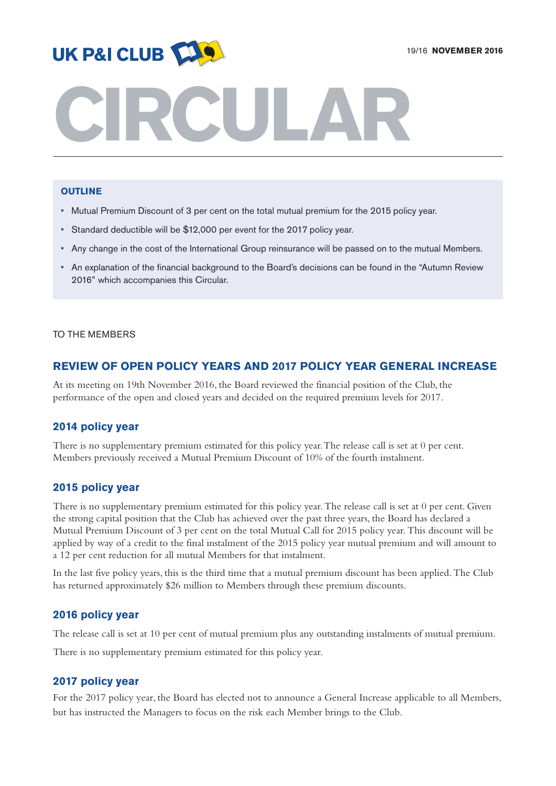

# **CIRCULAR**

## **OUTLINE**

- Mutual Premium Discount of 3 per cent on the total mutual premium for the 2015 policy year.
- Standard deductible will be \$12,000 per event for the 2017 policy year.
- Any change in the cost of the International Group reinsurance will be passed on to the mutual Members.
- An explanation of the financial background to the Board's decisions can be found in the "Autumn Review 2016" which accompanies this Circular.

#### TO THE MEMBERS

# **REVIEW OF OPEN POLICY YEARS AND 2017 POLICY YEAR GENERAL INCREASE**

At its meeting on 19th November 2016, the Board reviewed the financial position of the Club, the performance of the open and closed years and decided on the required premium levels for 2017.

# **2014 policy year**

There is no supplementary premium estimated for this policy year.The release call is set at 0 per cent. Members previously received a Mutual Premium Discount of 10% of the fourth instalment.

#### **2015 policy year**

There is no supplementary premium estimated for this policy year. The release call is set at 0 per cent. Given the strong capital position that the Club has achieved over the past three years, the Board has declared a Mutual Premium Discount of 3 per cent on the total Mutual Call for 2015 policy year. This discount will be applied by way of a credit to the final instalment of the 2015 policy year mutual premium and will amount to a 12 per cent reduction for all mutual Members for that instalment.

In the last five policy years, this is the third time that a mutual premium discount has been applied. The Club has returned approximately \$26 million to Members through these premium discounts.

#### **2016 policy year**

The release call is set at 10 per cent of mutual premium plus any outstanding instalments of mutual premium.

There is no supplementary premium estimated for this policy year.

## **2017 policy year**

For the 2017 policy year, the Board has elected not to announce a General Increase applicable to all Members, but has instructed the Managers to focus on the risk each Member brings to the Club.